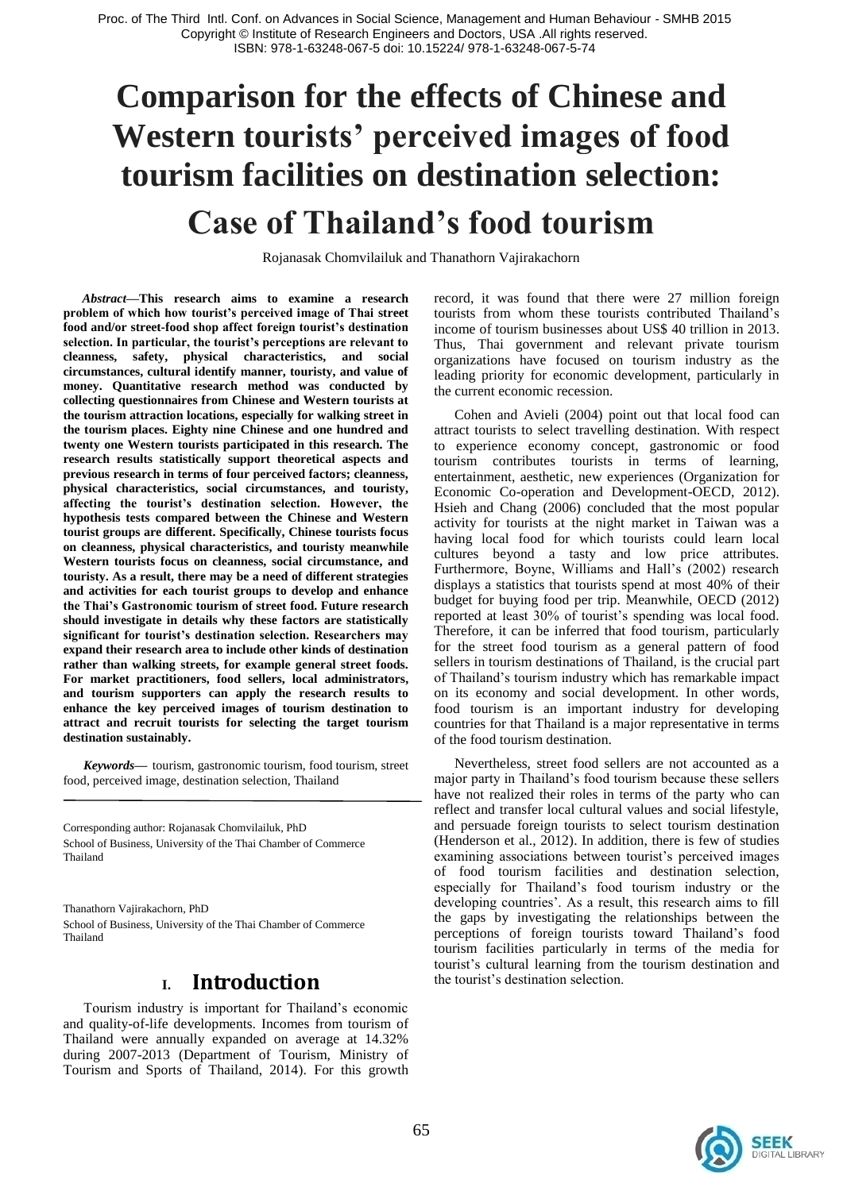# **Comparison for the effects of Chinese and Western tourists' perceived images of food tourism facilities on destination selection: Case of Thailand's food tourism**

Rojanasak Chomvilailuk and Thanathorn Vajirakachorn

*Abstract***—This research aims to examine a research problem of which how tourist's perceived image of Thai street food and/or street-food shop affect foreign tourist's destination selection. In particular, the tourist's perceptions are relevant to cleanness, safety, physical characteristics, and social circumstances, cultural identify manner, touristy, and value of money. Quantitative research method was conducted by collecting questionnaires from Chinese and Western tourists at the tourism attraction locations, especially for walking street in the tourism places. Eighty nine Chinese and one hundred and twenty one Western tourists participated in this research. The research results statistically support theoretical aspects and previous research in terms of four perceived factors; cleanness, physical characteristics, social circumstances, and touristy, affecting the tourist's destination selection. However, the hypothesis tests compared between the Chinese and Western tourist groups are different. Specifically, Chinese tourists focus on cleanness, physical characteristics, and touristy meanwhile Western tourists focus on cleanness, social circumstance, and touristy. As a result, there may be a need of different strategies and activities for each tourist groups to develop and enhance the Thai's Gastronomic tourism of street food. Future research should investigate in details why these factors are statistically significant for tourist's destination selection. Researchers may expand their research area to include other kinds of destination rather than walking streets, for example general street foods. For market practitioners, food sellers, local administrators, and tourism supporters can apply the research results to enhance the key perceived images of tourism destination to attract and recruit tourists for selecting the target tourism destination sustainably.**

*Keywords—* tourism, gastronomic tourism, food tourism, street food, perceived image, destination selection, Thailand

Corresponding author: Rojanasak Chomvilailuk, PhD School of Business, University of the Thai Chamber of Commerce Thailand

Thanathorn Vajirakachorn, PhD School of Business, University of the Thai Chamber of Commerce Thailand

#### **I. Introduction**

Tourism industry is important for Thailand"s economic and quality-of-life developments. Incomes from tourism of Thailand were annually expanded on average at 14.32% during 2007-2013 (Department of Tourism, Ministry of Tourism and Sports of Thailand, 2014). For this growth record, it was found that there were 27 million foreign tourists from whom these tourists contributed Thailand"s income of tourism businesses about US\$ 40 trillion in 2013. Thus, Thai government and relevant private tourism organizations have focused on tourism industry as the leading priority for economic development, particularly in the current economic recession.

Cohen and Avieli (2004) point out that local food can attract tourists to select travelling destination. With respect to experience economy concept, gastronomic or food tourism contributes tourists in terms of learning, entertainment, aesthetic, new experiences (Organization for Economic Co-operation and Development-OECD, 2012). Hsieh and Chang (2006) concluded that the most popular activity for tourists at the night market in Taiwan was a having local food for which tourists could learn local cultures beyond a tasty and low price attributes. Furthermore, Boyne, Williams and Hall's (2002) research displays a statistics that tourists spend at most 40% of their budget for buying food per trip. Meanwhile, OECD (2012) reported at least 30% of tourist's spending was local food. Therefore, it can be inferred that food tourism, particularly for the street food tourism as a general pattern of food sellers in tourism destinations of Thailand, is the crucial part of Thailand"s tourism industry which has remarkable impact on its economy and social development. In other words, food tourism is an important industry for developing countries for that Thailand is a major representative in terms of the food tourism destination.

Nevertheless, street food sellers are not accounted as a major party in Thailand"s food tourism because these sellers have not realized their roles in terms of the party who can reflect and transfer local cultural values and social lifestyle, and persuade foreign tourists to select tourism destination (Henderson et al., 2012). In addition, there is few of studies examining associations between tourist's perceived images of food tourism facilities and destination selection, especially for Thailand"s food tourism industry or the developing countries'. As a result, this research aims to fill the gaps by investigating the relationships between the perceptions of foreign tourists toward Thailand"s food tourism facilities particularly in terms of the media for tourist"s cultural learning from the tourism destination and the tourist"s destination selection.

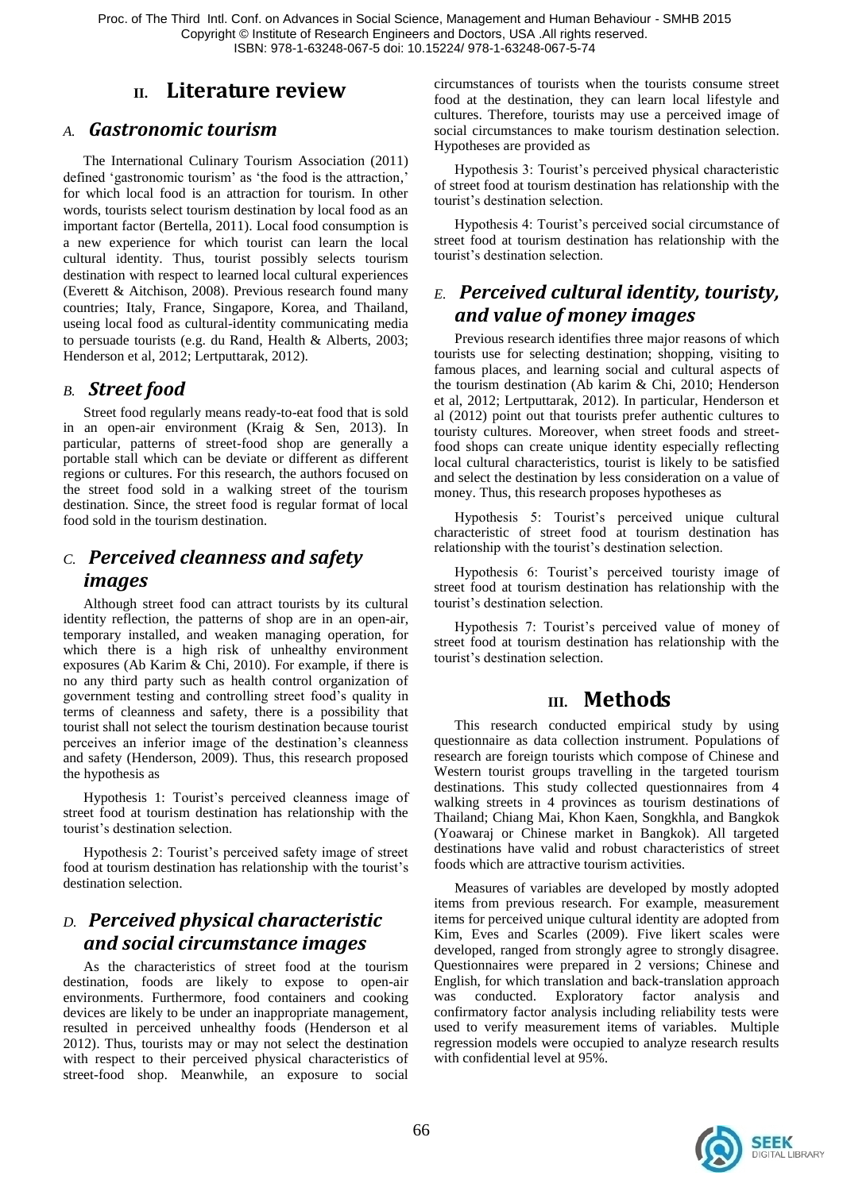Proc. of The Third Intl. Conf. on Advances in Social Science, Management and Human Behaviour - SMHB 2015 Copyright © Institute of Research Engineers and Doctors, USA .All rights reserved. ISBN: 978-1-63248-067-5 doi: 10.15224/ 978-1-63248-067-5-74

# **II. Literature review**

#### *A. Gastronomic tourism*

The International Culinary Tourism Association (2011) defined 'gastronomic tourism' as 'the food is the attraction,' for which local food is an attraction for tourism. In other words, tourists select tourism destination by local food as an important factor (Bertella, 2011). Local food consumption is a new experience for which tourist can learn the local cultural identity. Thus, tourist possibly selects tourism destination with respect to learned local cultural experiences (Everett & Aitchison, 2008). Previous research found many countries; Italy, France, Singapore, Korea, and Thailand, useing local food as cultural-identity communicating media to persuade tourists (e.g. du Rand, Health & Alberts, 2003; Henderson et al, 2012; Lertputtarak, 2012).

#### *B. Street food*

Street food regularly means ready-to-eat food that is sold in an open-air environment (Kraig & Sen, 2013). In particular, patterns of street-food shop are generally a portable stall which can be deviate or different as different regions or cultures. For this research, the authors focused on the street food sold in a walking street of the tourism destination. Since, the street food is regular format of local food sold in the tourism destination.

# *C. Perceived cleanness and safety images*

Although street food can attract tourists by its cultural identity reflection, the patterns of shop are in an open-air, temporary installed, and weaken managing operation, for which there is a high risk of unhealthy environment exposures (Ab Karim & Chi, 2010). For example, if there is no any third party such as health control organization of government testing and controlling street food"s quality in terms of cleanness and safety, there is a possibility that tourist shall not select the tourism destination because tourist perceives an inferior image of the destination"s cleanness and safety (Henderson, 2009). Thus, this research proposed the hypothesis as

Hypothesis 1: Tourist's perceived cleanness image of street food at tourism destination has relationship with the tourist"s destination selection.

Hypothesis 2: Tourist"s perceived safety image of street food at tourism destination has relationship with the tourist's destination selection.

### *D. Perceived physical characteristic and social circumstance images*

As the characteristics of street food at the tourism destination, foods are likely to expose to open-air environments. Furthermore, food containers and cooking devices are likely to be under an inappropriate management, resulted in perceived unhealthy foods (Henderson et al 2012). Thus, tourists may or may not select the destination with respect to their perceived physical characteristics of street-food shop. Meanwhile, an exposure to social

circumstances of tourists when the tourists consume street food at the destination, they can learn local lifestyle and cultures. Therefore, tourists may use a perceived image of social circumstances to make tourism destination selection. Hypotheses are provided as

Hypothesis 3: Tourist"s perceived physical characteristic of street food at tourism destination has relationship with the tourist"s destination selection.

Hypothesis 4: Tourist's perceived social circumstance of street food at tourism destination has relationship with the tourist"s destination selection.

# *E. Perceived cultural identity, touristy, and value of money images*

Previous research identifies three major reasons of which tourists use for selecting destination; shopping, visiting to famous places, and learning social and cultural aspects of the tourism destination (Ab karim & Chi, 2010; Henderson et al, 2012; Lertputtarak, 2012). In particular, Henderson et al (2012) point out that tourists prefer authentic cultures to touristy cultures. Moreover, when street foods and streetfood shops can create unique identity especially reflecting local cultural characteristics, tourist is likely to be satisfied and select the destination by less consideration on a value of money. Thus, this research proposes hypotheses as

Hypothesis 5: Tourist's perceived unique cultural characteristic of street food at tourism destination has relationship with the tourist's destination selection.

Hypothesis 6: Tourist's perceived touristy image of street food at tourism destination has relationship with the tourist's destination selection.

Hypothesis 7: Tourist's perceived value of money of street food at tourism destination has relationship with the tourist"s destination selection.

#### **III. Methods**

This research conducted empirical study by using questionnaire as data collection instrument. Populations of research are foreign tourists which compose of Chinese and Western tourist groups travelling in the targeted tourism destinations. This study collected questionnaires from 4 walking streets in 4 provinces as tourism destinations of Thailand; Chiang Mai, Khon Kaen, Songkhla, and Bangkok (Yoawaraj or Chinese market in Bangkok). All targeted destinations have valid and robust characteristics of street foods which are attractive tourism activities.

Measures of variables are developed by mostly adopted items from previous research. For example, measurement items for perceived unique cultural identity are adopted from Kim, Eves and Scarles (2009). Five likert scales were developed, ranged from strongly agree to strongly disagree. Questionnaires were prepared in 2 versions; Chinese and English, for which translation and back-translation approach was conducted. Exploratory factor analysis and confirmatory factor analysis including reliability tests were used to verify measurement items of variables. Multiple regression models were occupied to analyze research results with confidential level at 95%.

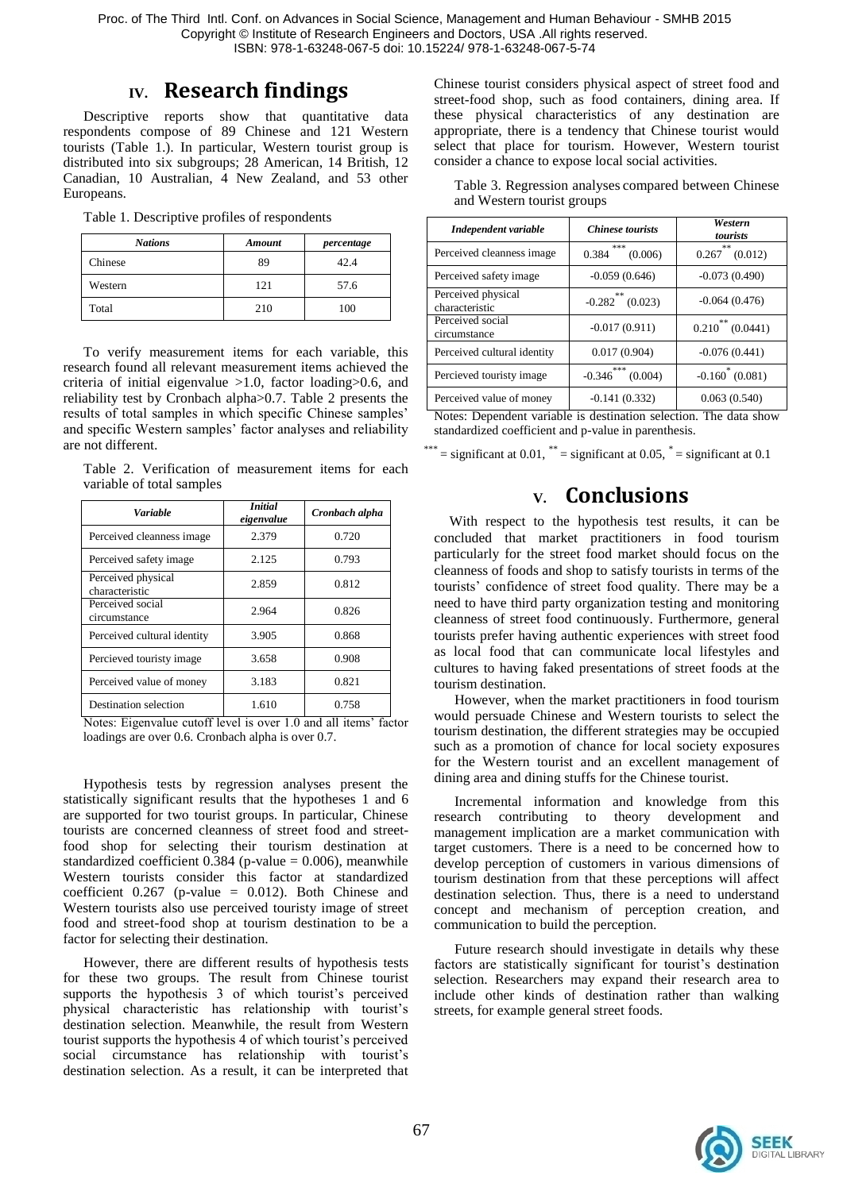Proc. of The Third Intl. Conf. on Advances in Social Science, Management and Human Behaviour - SMHB 2015 Copyright © Institute of Research Engineers and Doctors, USA .All rights reserved. ISBN: 978-1-63248-067-5 doi: 10.15224/ 978-1-63248-067-5-74

## **IV. Research findings**

Descriptive reports show that quantitative data respondents compose of 89 Chinese and 121 Western tourists (Table 1.). In particular, Western tourist group is distributed into six subgroups; 28 American, 14 British, 12 Canadian, 10 Australian, 4 New Zealand, and 53 other Europeans.

Table 1. Descriptive profiles of respondents

| <b>Nations</b> | Amount | percentage |
|----------------|--------|------------|
| Chinese        | 89     | 42.4       |
| Western        | 121    | 57.6       |
| Total          | 210    | 100        |

To verify measurement items for each variable, this research found all relevant measurement items achieved the criteria of initial eigenvalue >1.0, factor loading>0.6, and reliability test by Cronbach alpha>0.7. Table 2 presents the results of total samples in which specific Chinese samples" and specific Western samples' factor analyses and reliability are not different.

Table 2. Verification of measurement items for each variable of total samples

| Variable                             | <i>Initial</i><br>eigenvalue | Cronbach alpha |
|--------------------------------------|------------------------------|----------------|
| Perceived cleanness image            | 2.379                        | 0.720          |
| Perceived safety image               | 2.125                        | 0.793          |
| Perceived physical<br>characteristic | 2.859                        | 0.812          |
| Perceived social<br>circumstance     | 2.964                        | 0.826          |
| Perceived cultural identity          | 3.905                        | 0.868          |
| Percieved touristy image             | 3.658                        | 0.908          |
| Perceived value of money             | 3.183                        | 0.821          |
| Destination selection                | 1.610                        | 0.758          |

Notes: Eigenvalue cutoff level is over 1.0 and all items" factor loadings are over 0.6. Cronbach alpha is over 0.7.

Hypothesis tests by regression analyses present the statistically significant results that the hypotheses 1 and 6 are supported for two tourist groups. In particular, Chinese tourists are concerned cleanness of street food and streetfood shop for selecting their tourism destination at standardized coefficient  $0.384$  (p-value = 0.006), meanwhile Western tourists consider this factor at standardized coefficient  $0.267$  (p-value = 0.012). Both Chinese and Western tourists also use perceived touristy image of street food and street-food shop at tourism destination to be a factor for selecting their destination.

However, there are different results of hypothesis tests for these two groups. The result from Chinese tourist supports the hypothesis 3 of which tourist's perceived physical characteristic has relationship with tourist"s destination selection. Meanwhile, the result from Western tourist supports the hypothesis 4 of which tourist"s perceived social circumstance has relationship with tourist's destination selection. As a result, it can be interpreted that Chinese tourist considers physical aspect of street food and street-food shop, such as food containers, dining area. If these physical characteristics of any destination are appropriate, there is a tendency that Chinese tourist would select that place for tourism. However, Western tourist consider a chance to expose local social activities.

| Independent variable                 | <b>Chinese tourists</b>    | Western<br>tourists     |
|--------------------------------------|----------------------------|-------------------------|
| Perceived cleanness image            | ***<br>0.384<br>(0.006)    | 念末<br>(0.012)<br>0.267  |
| Perceived safety image               | $-0.059(0.646)$            | $-0.073(0.490)$         |
| Perceived physical<br>characteristic | 米米<br>$-0.282$<br>(0.023)  | $-0.064(0.476)$         |
| Perceived social<br>circumstance     | $-0.017(0.911)$            | **<br>0.210<br>(0.0441) |
| Perceived cultural identity          | 0.017(0.904)               | $-0.076(0.441)$         |
| Percieved touristy image             | ***<br>(0.004)<br>$-0.346$ | $-0.160(0.081)$         |
| Perceived value of money             | $-0.141(0.332)$            | 0.063(0.540)            |

Table 3. Regression analyses compared between Chinese and Western tourist groups

Notes: Dependent variable is destination selection. The data show standardized coefficient and p-value in parenthesis.

\*\*\* = significant at  $0.01$ , \*\* = significant at  $0.05$ , \* = significant at  $0.1$ 

# **V. Conclusions**

With respect to the hypothesis test results, it can be concluded that market practitioners in food tourism particularly for the street food market should focus on the cleanness of foods and shop to satisfy tourists in terms of the tourists" confidence of street food quality. There may be a need to have third party organization testing and monitoring cleanness of street food continuously. Furthermore, general tourists prefer having authentic experiences with street food as local food that can communicate local lifestyles and cultures to having faked presentations of street foods at the tourism destination.

However, when the market practitioners in food tourism would persuade Chinese and Western tourists to select the tourism destination, the different strategies may be occupied such as a promotion of chance for local society exposures for the Western tourist and an excellent management of dining area and dining stuffs for the Chinese tourist.

Incremental information and knowledge from this research contributing to theory development and management implication are a market communication with target customers. There is a need to be concerned how to develop perception of customers in various dimensions of tourism destination from that these perceptions will affect destination selection. Thus, there is a need to understand concept and mechanism of perception creation, and communication to build the perception.

Future research should investigate in details why these factors are statistically significant for tourist's destination selection. Researchers may expand their research area to include other kinds of destination rather than walking streets, for example general street foods.